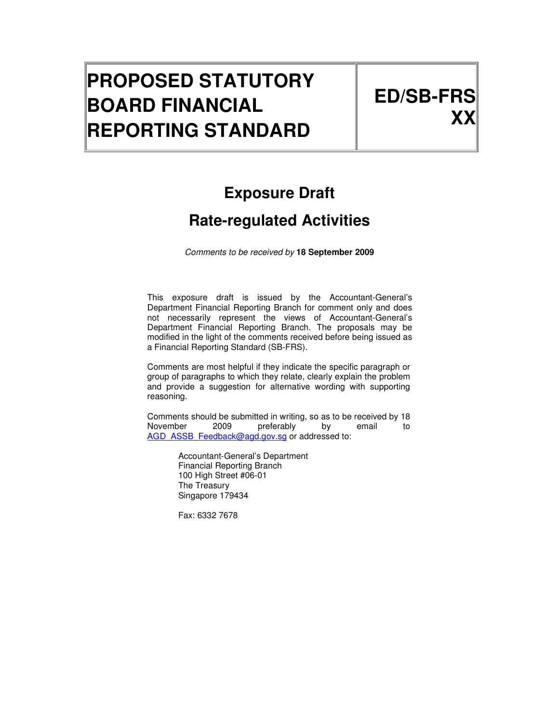# **PROPOSED STATUTORY BOARD FINANCIAL REPORTING STANDARD**

# **Exposure Draft**

# **Rate-regulated Activities**

Comments to be received by **18 September 2009**

This exposure draft is issued by the Accountant-General's Department Financial Reporting Branch for comment only and does not necessarily represent the views of Accountant-General's Department Financial Reporting Branch. The proposals may be modified in the light of the comments received before being issued as a Financial Reporting Standard (SB-FRS).

Comments are most helpful if they indicate the specific paragraph or group of paragraphs to which they relate, clearly explain the problem and provide a suggestion for alternative wording with supporting reasoning.

Comments should be submitted in writing, so as to be received by 18 November 2009 preferably by email to AGD\_ASSB\_Feedback@agd.gov.sg or addressed to:

> Accountant-General's Department Financial Reporting Branch 100 High Street #06-01 The Treasury Singapore 179434

Fax: 6332 7678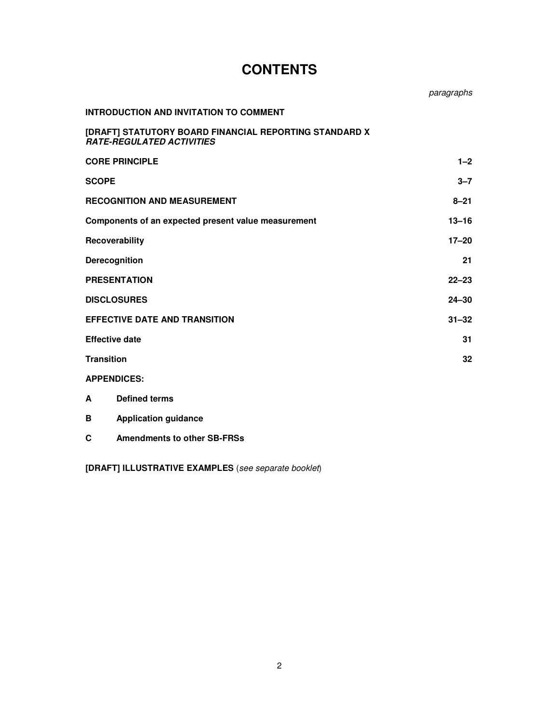|                                                                                            | paragraphs |
|--------------------------------------------------------------------------------------------|------------|
| <b>INTRODUCTION AND INVITATION TO COMMENT</b>                                              |            |
| [DRAFT] STATUTORY BOARD FINANCIAL REPORTING STANDARD X<br><b>RATE-REGULATED ACTIVITIES</b> |            |
| <b>CORE PRINCIPLE</b>                                                                      | $1 - 2$    |
| <b>SCOPE</b>                                                                               | $3 - 7$    |
| <b>RECOGNITION AND MEASUREMENT</b>                                                         | $8 - 21$   |
| Components of an expected present value measurement                                        | $13 - 16$  |
| Recoverability                                                                             | $17 - 20$  |
| Derecognition                                                                              | 21         |
| <b>PRESENTATION</b>                                                                        | $22 - 23$  |
| <b>DISCLOSURES</b>                                                                         | $24 - 30$  |
| <b>EFFECTIVE DATE AND TRANSITION</b>                                                       | $31 - 32$  |
| <b>Effective date</b>                                                                      | 31         |
| <b>Transition</b>                                                                          | 32         |
| <b>APPENDICES:</b>                                                                         |            |
| <b>Defined terms</b><br>A                                                                  |            |
| <b>Application guidance</b><br>B                                                           |            |
| <b>Amendments to other SB-FRSs</b><br>C                                                    |            |

# **CONTENTS**

**[DRAFT] ILLUSTRATIVE EXAMPLES** (see separate booklet)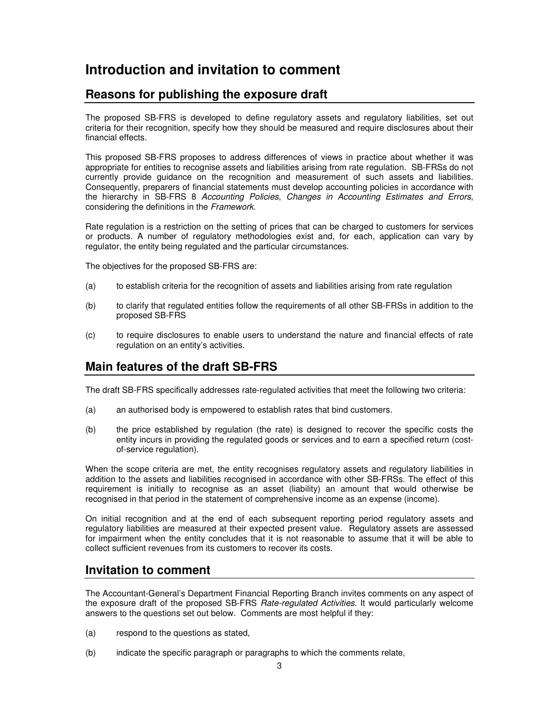# **Introduction and invitation to comment**

# **Reasons for publishing the exposure draft**

The proposed SB-FRS is developed to define regulatory assets and regulatory liabilities, set out criteria for their recognition, specify how they should be measured and require disclosures about their financial effects.

This proposed SB-FRS proposes to address differences of views in practice about whether it was appropriate for entities to recognise assets and liabilities arising from rate regulation. SB-FRSs do not currently provide guidance on the recognition and measurement of such assets and liabilities. Consequently, preparers of financial statements must develop accounting policies in accordance with the hierarchy in SB-FRS 8 Accounting Policies, Changes in Accounting Estimates and Errors, considering the definitions in the Framework.

Rate regulation is a restriction on the setting of prices that can be charged to customers for services or products. A number of regulatory methodologies exist and, for each, application can vary by regulator, the entity being regulated and the particular circumstances.

The objectives for the proposed SB-FRS are:

- (a) to establish criteria for the recognition of assets and liabilities arising from rate regulation
- (b) to clarify that regulated entities follow the requirements of all other SB-FRSs in addition to the proposed SB-FRS
- (c) to require disclosures to enable users to understand the nature and financial effects of rate regulation on an entity's activities.

## **Main features of the draft SB-FRS**

The draft SB-FRS specifically addresses rate-regulated activities that meet the following two criteria:

- (a) an authorised body is empowered to establish rates that bind customers.
- (b) the price established by regulation (the rate) is designed to recover the specific costs the entity incurs in providing the regulated goods or services and to earn a specified return (costof-service regulation).

When the scope criteria are met, the entity recognises regulatory assets and regulatory liabilities in addition to the assets and liabilities recognised in accordance with other SB-FRSs. The effect of this requirement is initially to recognise as an asset (liability) an amount that would otherwise be recognised in that period in the statement of comprehensive income as an expense (income).

On initial recognition and at the end of each subsequent reporting period regulatory assets and regulatory liabilities are measured at their expected present value. Regulatory assets are assessed for impairment when the entity concludes that it is not reasonable to assume that it will be able to collect sufficient revenues from its customers to recover its costs.

## **Invitation to comment**

The Accountant-General's Department Financial Reporting Branch invites comments on any aspect of the exposure draft of the proposed SB-FRS Rate-regulated Activities. It would particularly welcome answers to the questions set out below. Comments are most helpful if they:

- (a) respond to the questions as stated,
- (b) indicate the specific paragraph or paragraphs to which the comments relate,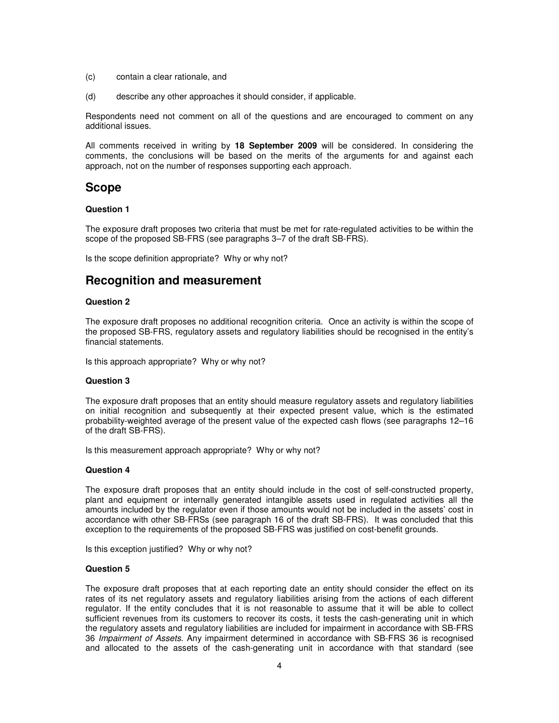- (c) contain a clear rationale, and
- (d) describe any other approaches it should consider, if applicable.

Respondents need not comment on all of the questions and are encouraged to comment on any additional issues.

All comments received in writing by **18 September 2009** will be considered. In considering the comments, the conclusions will be based on the merits of the arguments for and against each approach, not on the number of responses supporting each approach.

## **Scope**

#### **Question 1**

The exposure draft proposes two criteria that must be met for rate-regulated activities to be within the scope of the proposed SB-FRS (see paragraphs 3–7 of the draft SB-FRS).

Is the scope definition appropriate? Why or why not?

# **Recognition and measurement**

#### **Question 2**

The exposure draft proposes no additional recognition criteria. Once an activity is within the scope of the proposed SB-FRS, regulatory assets and regulatory liabilities should be recognised in the entity's financial statements.

Is this approach appropriate? Why or why not?

#### **Question 3**

The exposure draft proposes that an entity should measure regulatory assets and regulatory liabilities on initial recognition and subsequently at their expected present value, which is the estimated probability-weighted average of the present value of the expected cash flows (see paragraphs 12–16 of the draft SB-FRS).

Is this measurement approach appropriate? Why or why not?

#### **Question 4**

The exposure draft proposes that an entity should include in the cost of self-constructed property, plant and equipment or internally generated intangible assets used in regulated activities all the amounts included by the regulator even if those amounts would not be included in the assets' cost in accordance with other SB-FRSs (see paragraph 16 of the draft SB-FRS). It was concluded that this exception to the requirements of the proposed SB-FRS was justified on cost-benefit grounds.

Is this exception justified? Why or why not?

#### **Question 5**

The exposure draft proposes that at each reporting date an entity should consider the effect on its rates of its net regulatory assets and regulatory liabilities arising from the actions of each different regulator. If the entity concludes that it is not reasonable to assume that it will be able to collect sufficient revenues from its customers to recover its costs, it tests the cash-generating unit in which the regulatory assets and regulatory liabilities are included for impairment in accordance with SB-FRS 36 Impairment of Assets. Any impairment determined in accordance with SB-FRS 36 is recognised and allocated to the assets of the cash-generating unit in accordance with that standard (see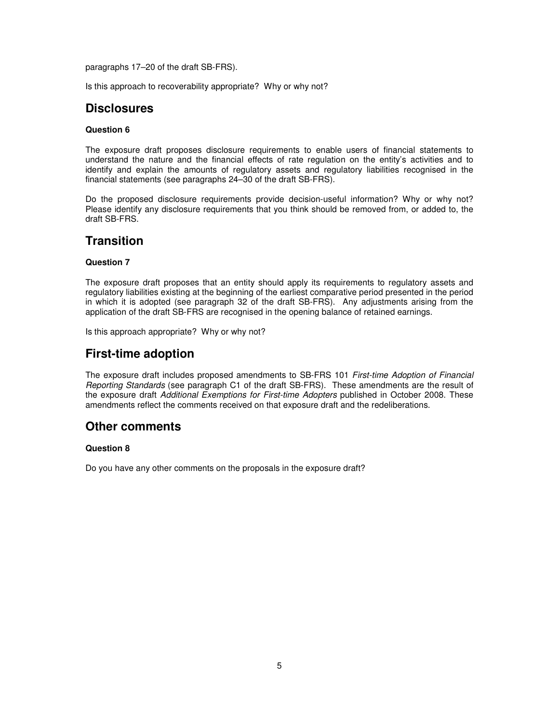paragraphs 17–20 of the draft SB-FRS).

Is this approach to recoverability appropriate? Why or why not?

## **Disclosures**

#### **Question 6**

The exposure draft proposes disclosure requirements to enable users of financial statements to understand the nature and the financial effects of rate regulation on the entity's activities and to identify and explain the amounts of regulatory assets and regulatory liabilities recognised in the financial statements (see paragraphs 24–30 of the draft SB-FRS).

Do the proposed disclosure requirements provide decision-useful information? Why or why not? Please identify any disclosure requirements that you think should be removed from, or added to, the draft SB-FRS.

#### **Transition**

#### **Question 7**

The exposure draft proposes that an entity should apply its requirements to regulatory assets and regulatory liabilities existing at the beginning of the earliest comparative period presented in the period in which it is adopted (see paragraph 32 of the draft SB-FRS). Any adjustments arising from the application of the draft SB-FRS are recognised in the opening balance of retained earnings.

Is this approach appropriate? Why or why not?

# **First-time adoption**

The exposure draft includes proposed amendments to SB-FRS 101 First-time Adoption of Financial Reporting Standards (see paragraph C1 of the draft SB-FRS). These amendments are the result of the exposure draft Additional Exemptions for First-time Adopters published in October 2008. These amendments reflect the comments received on that exposure draft and the redeliberations.

## **Other comments**

#### **Question 8**

Do you have any other comments on the proposals in the exposure draft?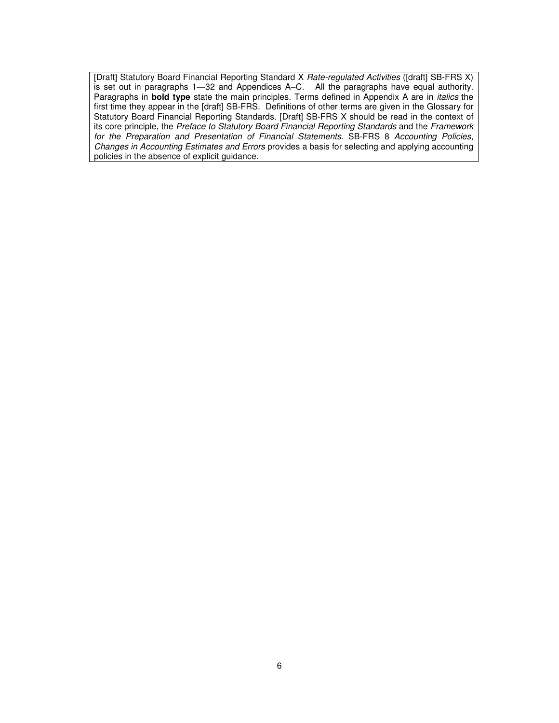[Draft] Statutory Board Financial Reporting Standard X Rate-regulated Activities ([draft] SB-FRS X) is set out in paragraphs 1—32 and Appendices A–C. All the paragraphs have equal authority. Paragraphs in **bold type** state the main principles. Terms defined in Appendix A are in italics the first time they appear in the [draft] SB-FRS. Definitions of other terms are given in the Glossary for Statutory Board Financial Reporting Standards. [Draft] SB-FRS X should be read in the context of its core principle, the Preface to Statutory Board Financial Reporting Standards and the Framework for the Preparation and Presentation of Financial Statements. SB-FRS 8 Accounting Policies, Changes in Accounting Estimates and Errors provides a basis for selecting and applying accounting policies in the absence of explicit guidance.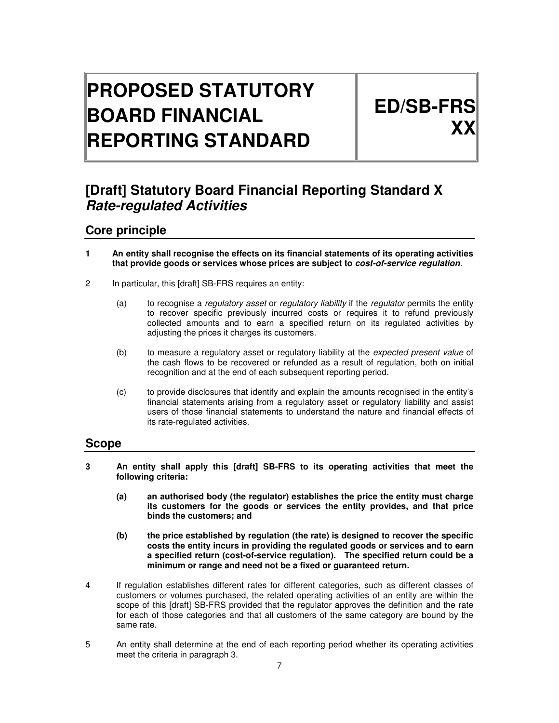# **PROPOSED STATUTORY BOARD FINANCIAL REPORTING STANDARD**

# **ED/SB-FRS XX**

# **[Draft] Statutory Board Financial Reporting Standard X Rate-regulated Activities**

# **Core principle**

- **1 An entity shall recognise the effects on its financial statements of its operating activities that provide goods or services whose prices are subject to cost-of-service regulation**.
- 2 In particular, this [draft] SB-FRS requires an entity:
	- (a) to recognise a *regulatory asset* or *regulatory liability* if the *regulator* permits the entity to recover specific previously incurred costs or requires it to refund previously collected amounts and to earn a specified return on its regulated activities by adjusting the prices it charges its customers.
	- (b) to measure a regulatory asset or regulatory liability at the *expected present value* of the cash flows to be recovered or refunded as a result of regulation, both on initial recognition and at the end of each subsequent reporting period.
	- (c) to provide disclosures that identify and explain the amounts recognised in the entity's financial statements arising from a regulatory asset or regulatory liability and assist users of those financial statements to understand the nature and financial effects of its rate-regulated activities.

## **Scope**

- **3 An entity shall apply this [draft] SB-FRS to its operating activities that meet the following criteria:** 
	- **(a) an authorised body (the regulator) establishes the price the entity must charge its customers for the goods or services the entity provides, and that price binds the customers; and**
	- **(b) the price established by regulation (the rate) is designed to recover the specific costs the entity incurs in providing the regulated goods or services and to earn a specified return (cost-of-service regulation). The specified return could be a minimum or range and need not be a fixed or guaranteed return.**
- 4 If regulation establishes different rates for different categories, such as different classes of customers or volumes purchased, the related operating activities of an entity are within the scope of this [draft] SB-FRS provided that the regulator approves the definition and the rate for each of those categories and that all customers of the same category are bound by the same rate.
- 5 An entity shall determine at the end of each reporting period whether its operating activities meet the criteria in paragraph 3.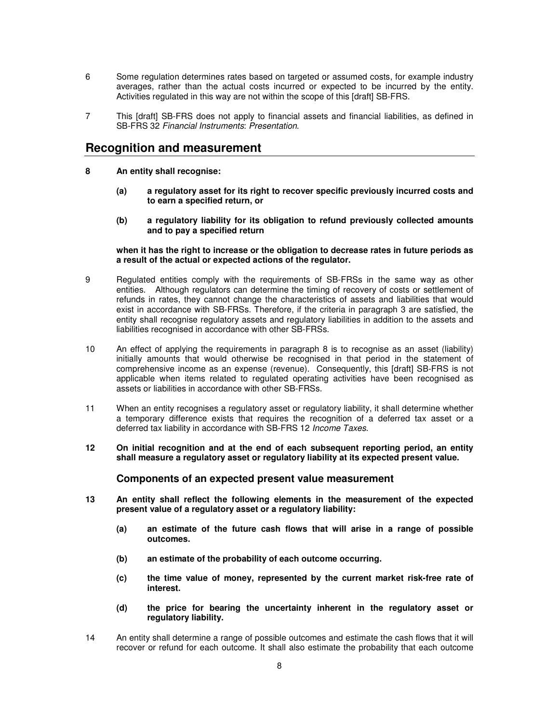- 6 Some regulation determines rates based on targeted or assumed costs, for example industry averages, rather than the actual costs incurred or expected to be incurred by the entity. Activities regulated in this way are not within the scope of this [draft] SB-FRS.
- 7 This [draft] SB-FRS does not apply to financial assets and financial liabilities, as defined in SB-FRS 32 Financial Instruments: Presentation.

#### **Recognition and measurement**

- **8 An entity shall recognise:** 
	- **(a) a regulatory asset for its right to recover specific previously incurred costs and to earn a specified return, or**
	- **(b) a regulatory liability for its obligation to refund previously collected amounts and to pay a specified return**

**when it has the right to increase or the obligation to decrease rates in future periods as a result of the actual or expected actions of the regulator.** 

- 9 Regulated entities comply with the requirements of SB-FRSs in the same way as other entities. Although regulators can determine the timing of recovery of costs or settlement of refunds in rates, they cannot change the characteristics of assets and liabilities that would exist in accordance with SB-FRSs. Therefore, if the criteria in paragraph 3 are satisfied, the entity shall recognise regulatory assets and regulatory liabilities in addition to the assets and liabilities recognised in accordance with other SB-FRSs.
- 10 An effect of applying the requirements in paragraph 8 is to recognise as an asset (liability) initially amounts that would otherwise be recognised in that period in the statement of comprehensive income as an expense (revenue). Consequently, this [draft] SB-FRS is not applicable when items related to regulated operating activities have been recognised as assets or liabilities in accordance with other SB-FRSs.
- 11 When an entity recognises a regulatory asset or regulatory liability, it shall determine whether a temporary difference exists that requires the recognition of a deferred tax asset or a deferred tax liability in accordance with SB-FRS 12 Income Taxes.
- **12 On initial recognition and at the end of each subsequent reporting period, an entity shall measure a regulatory asset or regulatory liability at its expected present value.**

#### **Components of an expected present value measurement**

- **13 An entity shall reflect the following elements in the measurement of the expected present value of a regulatory asset or a regulatory liability:** 
	- **(a) an estimate of the future cash flows that will arise in a range of possible outcomes.**
	- **(b) an estimate of the probability of each outcome occurring.**
	- **(c) the time value of money, represented by the current market risk-free rate of interest.**
	- **(d) the price for bearing the uncertainty inherent in the regulatory asset or regulatory liability.**
- 14 An entity shall determine a range of possible outcomes and estimate the cash flows that it will recover or refund for each outcome. It shall also estimate the probability that each outcome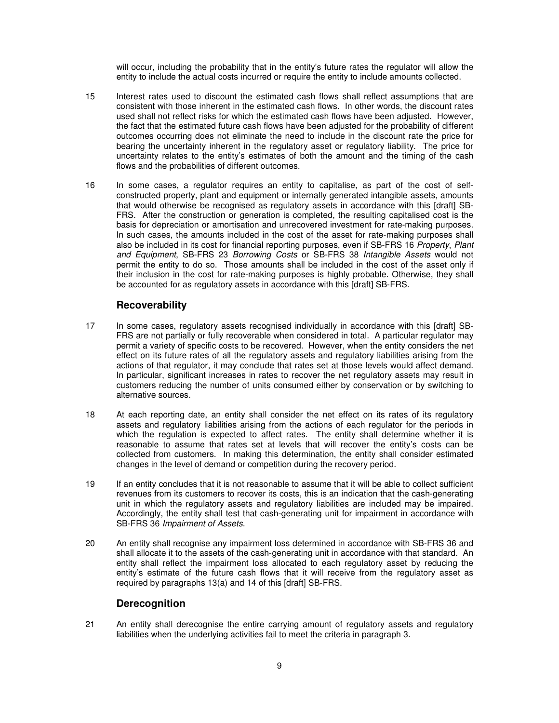will occur, including the probability that in the entity's future rates the regulator will allow the entity to include the actual costs incurred or require the entity to include amounts collected.

- 15 Interest rates used to discount the estimated cash flows shall reflect assumptions that are consistent with those inherent in the estimated cash flows. In other words, the discount rates used shall not reflect risks for which the estimated cash flows have been adjusted. However, the fact that the estimated future cash flows have been adjusted for the probability of different outcomes occurring does not eliminate the need to include in the discount rate the price for bearing the uncertainty inherent in the regulatory asset or regulatory liability. The price for uncertainty relates to the entity's estimates of both the amount and the timing of the cash flows and the probabilities of different outcomes.
- 16 In some cases, a regulator requires an entity to capitalise, as part of the cost of selfconstructed property, plant and equipment or internally generated intangible assets, amounts that would otherwise be recognised as regulatory assets in accordance with this [draft] SB-FRS. After the construction or generation is completed, the resulting capitalised cost is the basis for depreciation or amortisation and unrecovered investment for rate-making purposes. In such cases, the amounts included in the cost of the asset for rate-making purposes shall also be included in its cost for financial reporting purposes, even if SB-FRS 16 Property, Plant and Equipment, SB-FRS 23 Borrowing Costs or SB-FRS 38 Intangible Assets would not permit the entity to do so. Those amounts shall be included in the cost of the asset only if their inclusion in the cost for rate-making purposes is highly probable. Otherwise, they shall be accounted for as regulatory assets in accordance with this [draft] SB-FRS.

#### **Recoverability**

- 17 In some cases, regulatory assets recognised individually in accordance with this [draft] SB-FRS are not partially or fully recoverable when considered in total. A particular regulator may permit a variety of specific costs to be recovered. However, when the entity considers the net effect on its future rates of all the regulatory assets and regulatory liabilities arising from the actions of that regulator, it may conclude that rates set at those levels would affect demand. In particular, significant increases in rates to recover the net regulatory assets may result in customers reducing the number of units consumed either by conservation or by switching to alternative sources.
- 18 At each reporting date, an entity shall consider the net effect on its rates of its regulatory assets and regulatory liabilities arising from the actions of each regulator for the periods in which the regulation is expected to affect rates. The entity shall determine whether it is reasonable to assume that rates set at levels that will recover the entity's costs can be collected from customers. In making this determination, the entity shall consider estimated changes in the level of demand or competition during the recovery period.
- 19 If an entity concludes that it is not reasonable to assume that it will be able to collect sufficient revenues from its customers to recover its costs, this is an indication that the cash-generating unit in which the regulatory assets and regulatory liabilities are included may be impaired. Accordingly, the entity shall test that cash-generating unit for impairment in accordance with SB-FRS 36 Impairment of Assets.
- 20 An entity shall recognise any impairment loss determined in accordance with SB-FRS 36 and shall allocate it to the assets of the cash-generating unit in accordance with that standard. An entity shall reflect the impairment loss allocated to each regulatory asset by reducing the entity's estimate of the future cash flows that it will receive from the regulatory asset as required by paragraphs 13(a) and 14 of this [draft] SB-FRS.

#### **Derecognition**

21 An entity shall derecognise the entire carrying amount of regulatory assets and regulatory liabilities when the underlying activities fail to meet the criteria in paragraph 3.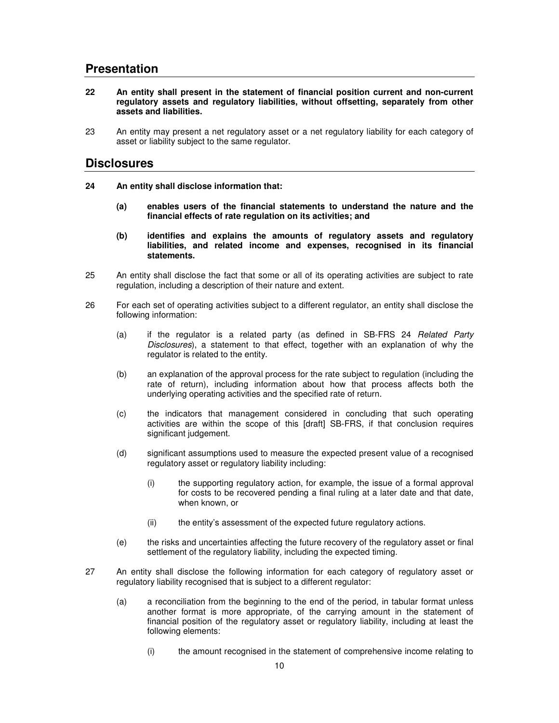## **Presentation**

- **22 An entity shall present in the statement of financial position current and non-current regulatory assets and regulatory liabilities, without offsetting, separately from other assets and liabilities.**
- 23 An entity may present a net regulatory asset or a net regulatory liability for each category of asset or liability subject to the same regulator.

### **Disclosures**

- **24 An entity shall disclose information that:** 
	- **(a) enables users of the financial statements to understand the nature and the financial effects of rate regulation on its activities; and**
	- **(b) identifies and explains the amounts of regulatory assets and regulatory liabilities, and related income and expenses, recognised in its financial statements.**
- 25 An entity shall disclose the fact that some or all of its operating activities are subject to rate regulation, including a description of their nature and extent.
- 26 For each set of operating activities subject to a different regulator, an entity shall disclose the following information:
	- (a) if the regulator is a related party (as defined in SB-FRS 24 Related Party Disclosures), a statement to that effect, together with an explanation of why the regulator is related to the entity.
	- (b) an explanation of the approval process for the rate subject to regulation (including the rate of return), including information about how that process affects both the underlying operating activities and the specified rate of return.
	- (c) the indicators that management considered in concluding that such operating activities are within the scope of this [draft] SB-FRS, if that conclusion requires significant judgement.
	- (d) significant assumptions used to measure the expected present value of a recognised regulatory asset or regulatory liability including:
		- (i) the supporting regulatory action, for example, the issue of a formal approval for costs to be recovered pending a final ruling at a later date and that date, when known, or
		- (ii) the entity's assessment of the expected future regulatory actions.
	- (e) the risks and uncertainties affecting the future recovery of the regulatory asset or final settlement of the regulatory liability, including the expected timing.
- 27 An entity shall disclose the following information for each category of regulatory asset or regulatory liability recognised that is subject to a different regulator:
	- (a) a reconciliation from the beginning to the end of the period, in tabular format unless another format is more appropriate, of the carrying amount in the statement of financial position of the regulatory asset or regulatory liability, including at least the following elements:
		- (i) the amount recognised in the statement of comprehensive income relating to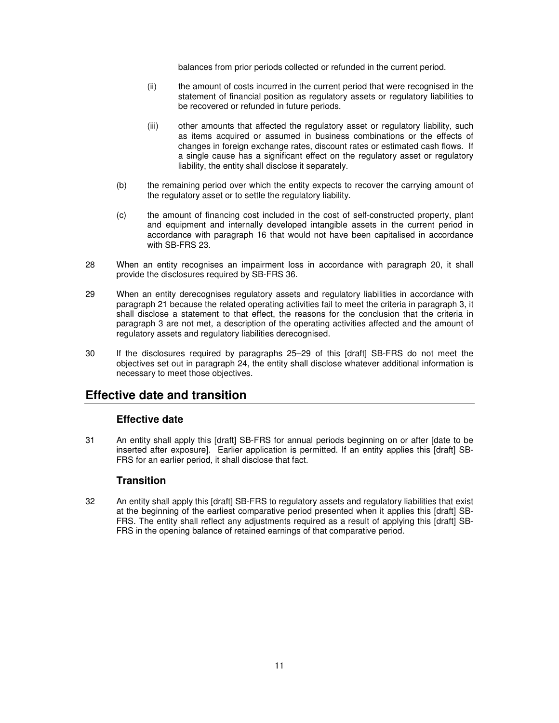balances from prior periods collected or refunded in the current period.

- (ii) the amount of costs incurred in the current period that were recognised in the statement of financial position as regulatory assets or regulatory liabilities to be recovered or refunded in future periods.
- (iii) other amounts that affected the regulatory asset or regulatory liability, such as items acquired or assumed in business combinations or the effects of changes in foreign exchange rates, discount rates or estimated cash flows. If a single cause has a significant effect on the regulatory asset or regulatory liability, the entity shall disclose it separately.
- (b) the remaining period over which the entity expects to recover the carrying amount of the regulatory asset or to settle the regulatory liability.
- (c) the amount of financing cost included in the cost of self-constructed property, plant and equipment and internally developed intangible assets in the current period in accordance with paragraph 16 that would not have been capitalised in accordance with SB-FRS 23.
- 28 When an entity recognises an impairment loss in accordance with paragraph 20, it shall provide the disclosures required by SB-FRS 36.
- 29 When an entity derecognises regulatory assets and regulatory liabilities in accordance with paragraph 21 because the related operating activities fail to meet the criteria in paragraph 3, it shall disclose a statement to that effect, the reasons for the conclusion that the criteria in paragraph 3 are not met, a description of the operating activities affected and the amount of regulatory assets and regulatory liabilities derecognised.
- 30 If the disclosures required by paragraphs 25–29 of this [draft] SB-FRS do not meet the objectives set out in paragraph 24, the entity shall disclose whatever additional information is necessary to meet those objectives.

## **Effective date and transition**

#### **Effective date**

31 An entity shall apply this [draft] SB-FRS for annual periods beginning on or after [date to be inserted after exposure]. Earlier application is permitted. If an entity applies this [draft] SB-FRS for an earlier period, it shall disclose that fact.

#### **Transition**

32 An entity shall apply this [draft] SB-FRS to regulatory assets and regulatory liabilities that exist at the beginning of the earliest comparative period presented when it applies this [draft] SB-FRS. The entity shall reflect any adjustments required as a result of applying this [draft] SB-FRS in the opening balance of retained earnings of that comparative period.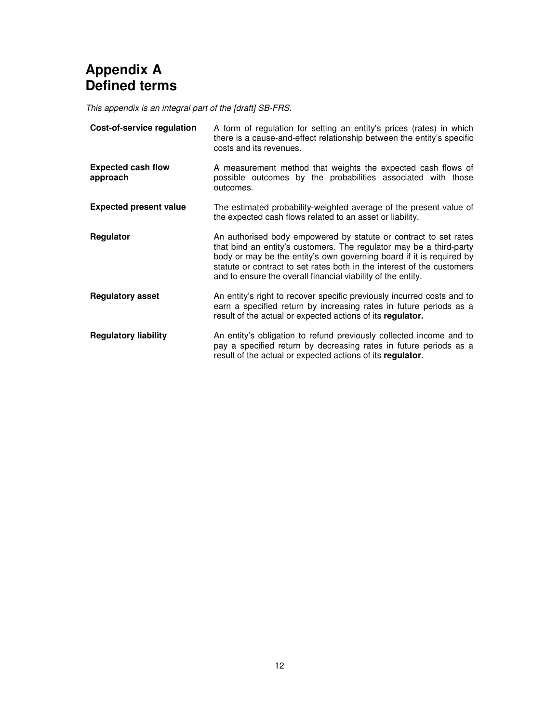# **Appendix A Defined terms**

This appendix is an integral part of the [draft] SB-FRS.

| Cost-of-service regulation            | A form of regulation for setting an entity's prices (rates) in which<br>there is a cause-and-effect relationship between the entity's specific<br>costs and its revenues.                                                                                                                                                                                 |
|---------------------------------------|-----------------------------------------------------------------------------------------------------------------------------------------------------------------------------------------------------------------------------------------------------------------------------------------------------------------------------------------------------------|
| <b>Expected cash flow</b><br>approach | A measurement method that weights the expected cash flows of<br>possible outcomes by the probabilities associated with those<br>outcomes.                                                                                                                                                                                                                 |
| <b>Expected present value</b>         | The estimated probability-weighted average of the present value of<br>the expected cash flows related to an asset or liability.                                                                                                                                                                                                                           |
| Regulator                             | An authorised body empowered by statute or contract to set rates<br>that bind an entity's customers. The regulator may be a third-party<br>body or may be the entity's own governing board if it is required by<br>statute or contract to set rates both in the interest of the customers<br>and to ensure the overall financial viability of the entity. |
| <b>Regulatory asset</b>               | An entity's right to recover specific previously incurred costs and to<br>earn a specified return by increasing rates in future periods as a<br>result of the actual or expected actions of its regulator.                                                                                                                                                |
| <b>Regulatory liability</b>           | An entity's obligation to refund previously collected income and to<br>pay a specified return by decreasing rates in future periods as a<br>result of the actual or expected actions of its regulator.                                                                                                                                                    |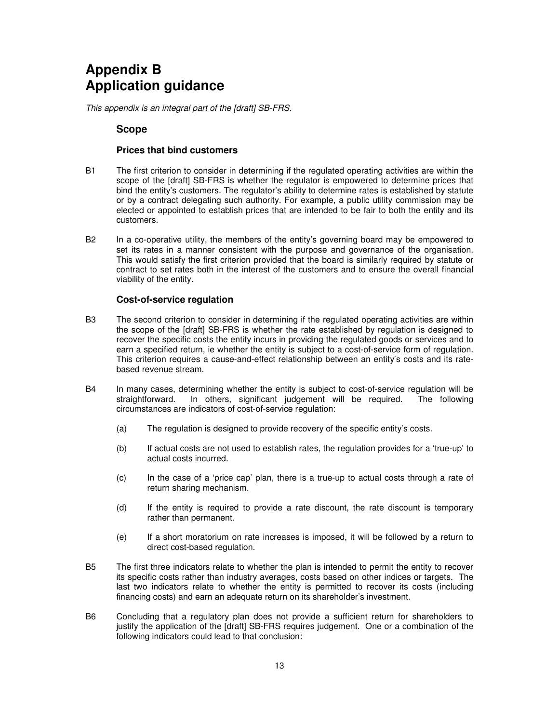# **Appendix B Application guidance**

This appendix is an integral part of the [draft] SB-FRS.

#### **Scope**

#### **Prices that bind customers**

- B1 The first criterion to consider in determining if the regulated operating activities are within the scope of the [draft] SB-FRS is whether the regulator is empowered to determine prices that bind the entity's customers. The regulator's ability to determine rates is established by statute or by a contract delegating such authority. For example, a public utility commission may be elected or appointed to establish prices that are intended to be fair to both the entity and its customers.
- B2 In a co-operative utility, the members of the entity's governing board may be empowered to set its rates in a manner consistent with the purpose and governance of the organisation. This would satisfy the first criterion provided that the board is similarly required by statute or contract to set rates both in the interest of the customers and to ensure the overall financial viability of the entity.

#### **Cost-of-service regulation**

- B3 The second criterion to consider in determining if the regulated operating activities are within the scope of the [draft] SB-FRS is whether the rate established by regulation is designed to recover the specific costs the entity incurs in providing the regulated goods or services and to earn a specified return, ie whether the entity is subject to a cost-of-service form of regulation. This criterion requires a cause-and-effect relationship between an entity's costs and its ratebased revenue stream.
- B4 In many cases, determining whether the entity is subject to cost-of-service regulation will be straightforward. In others, significant judgement will be required. The following circumstances are indicators of cost-of-service regulation:
	- (a) The regulation is designed to provide recovery of the specific entity's costs.
	- (b) If actual costs are not used to establish rates, the regulation provides for a 'true-up' to actual costs incurred.
	- (c) In the case of a 'price cap' plan, there is a true-up to actual costs through a rate of return sharing mechanism.
	- (d) If the entity is required to provide a rate discount, the rate discount is temporary rather than permanent.
	- (e) If a short moratorium on rate increases is imposed, it will be followed by a return to direct cost-based regulation.
- B5 The first three indicators relate to whether the plan is intended to permit the entity to recover its specific costs rather than industry averages, costs based on other indices or targets. The last two indicators relate to whether the entity is permitted to recover its costs (including financing costs) and earn an adequate return on its shareholder's investment.
- B6 Concluding that a regulatory plan does not provide a sufficient return for shareholders to justify the application of the [draft] SB-FRS requires judgement. One or a combination of the following indicators could lead to that conclusion: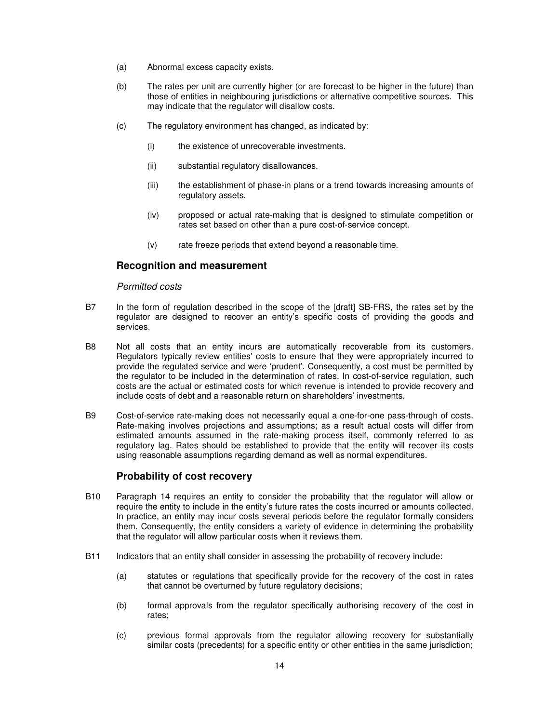- (a) Abnormal excess capacity exists.
- (b) The rates per unit are currently higher (or are forecast to be higher in the future) than those of entities in neighbouring jurisdictions or alternative competitive sources. This may indicate that the regulator will disallow costs.
- (c) The regulatory environment has changed, as indicated by:
	- (i) the existence of unrecoverable investments.
	- (ii) substantial regulatory disallowances.
	- (iii) the establishment of phase-in plans or a trend towards increasing amounts of regulatory assets.
	- (iv) proposed or actual rate-making that is designed to stimulate competition or rates set based on other than a pure cost-of-service concept.
	- (v) rate freeze periods that extend beyond a reasonable time.

#### **Recognition and measurement**

#### Permitted costs

- B7 In the form of regulation described in the scope of the [draft] SB-FRS, the rates set by the regulator are designed to recover an entity's specific costs of providing the goods and services.
- B8 Not all costs that an entity incurs are automatically recoverable from its customers. Regulators typically review entities' costs to ensure that they were appropriately incurred to provide the regulated service and were 'prudent'. Consequently, a cost must be permitted by the regulator to be included in the determination of rates. In cost-of-service regulation, such costs are the actual or estimated costs for which revenue is intended to provide recovery and include costs of debt and a reasonable return on shareholders' investments.
- B9 Cost-of-service rate-making does not necessarily equal a one-for-one pass-through of costs. Rate-making involves projections and assumptions; as a result actual costs will differ from estimated amounts assumed in the rate-making process itself, commonly referred to as regulatory lag. Rates should be established to provide that the entity will recover its costs using reasonable assumptions regarding demand as well as normal expenditures.

#### **Probability of cost recovery**

- B10 Paragraph 14 requires an entity to consider the probability that the regulator will allow or require the entity to include in the entity's future rates the costs incurred or amounts collected. In practice, an entity may incur costs several periods before the regulator formally considers them. Consequently, the entity considers a variety of evidence in determining the probability that the regulator will allow particular costs when it reviews them.
- B11 Indicators that an entity shall consider in assessing the probability of recovery include:
	- (a) statutes or regulations that specifically provide for the recovery of the cost in rates that cannot be overturned by future regulatory decisions;
	- (b) formal approvals from the regulator specifically authorising recovery of the cost in rates;
	- (c) previous formal approvals from the regulator allowing recovery for substantially similar costs (precedents) for a specific entity or other entities in the same jurisdiction;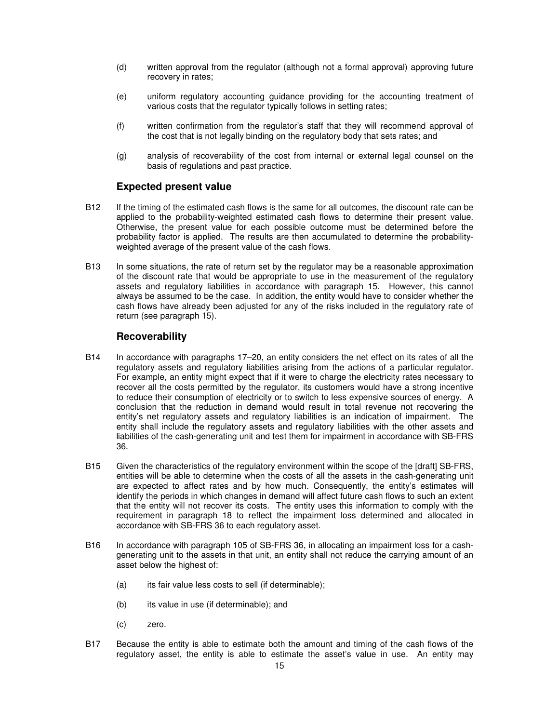- (d) written approval from the regulator (although not a formal approval) approving future recovery in rates;
- (e) uniform regulatory accounting guidance providing for the accounting treatment of various costs that the regulator typically follows in setting rates;
- (f) written confirmation from the regulator's staff that they will recommend approval of the cost that is not legally binding on the regulatory body that sets rates; and
- (g) analysis of recoverability of the cost from internal or external legal counsel on the basis of regulations and past practice.

#### **Expected present value**

- B12 If the timing of the estimated cash flows is the same for all outcomes, the discount rate can be applied to the probability-weighted estimated cash flows to determine their present value. Otherwise, the present value for each possible outcome must be determined before the probability factor is applied. The results are then accumulated to determine the probabilityweighted average of the present value of the cash flows.
- B13 In some situations, the rate of return set by the regulator may be a reasonable approximation of the discount rate that would be appropriate to use in the measurement of the regulatory assets and regulatory liabilities in accordance with paragraph 15. However, this cannot always be assumed to be the case. In addition, the entity would have to consider whether the cash flows have already been adjusted for any of the risks included in the regulatory rate of return (see paragraph 15).

#### **Recoverability**

- B14 In accordance with paragraphs 17–20, an entity considers the net effect on its rates of all the regulatory assets and regulatory liabilities arising from the actions of a particular regulator. For example, an entity might expect that if it were to charge the electricity rates necessary to recover all the costs permitted by the regulator, its customers would have a strong incentive to reduce their consumption of electricity or to switch to less expensive sources of energy. A conclusion that the reduction in demand would result in total revenue not recovering the entity's net regulatory assets and regulatory liabilities is an indication of impairment. The entity shall include the regulatory assets and regulatory liabilities with the other assets and liabilities of the cash-generating unit and test them for impairment in accordance with SB-FRS 36.
- B15 Given the characteristics of the regulatory environment within the scope of the [draft] SB-FRS, entities will be able to determine when the costs of all the assets in the cash-generating unit are expected to affect rates and by how much. Consequently, the entity's estimates will identify the periods in which changes in demand will affect future cash flows to such an extent that the entity will not recover its costs. The entity uses this information to comply with the requirement in paragraph 18 to reflect the impairment loss determined and allocated in accordance with SB-FRS 36 to each regulatory asset.
- B16 In accordance with paragraph 105 of SB-FRS 36, in allocating an impairment loss for a cashgenerating unit to the assets in that unit, an entity shall not reduce the carrying amount of an asset below the highest of:
	- (a) its fair value less costs to sell (if determinable);
	- (b) its value in use (if determinable); and
	- (c) zero.
- B17 Because the entity is able to estimate both the amount and timing of the cash flows of the regulatory asset, the entity is able to estimate the asset's value in use. An entity may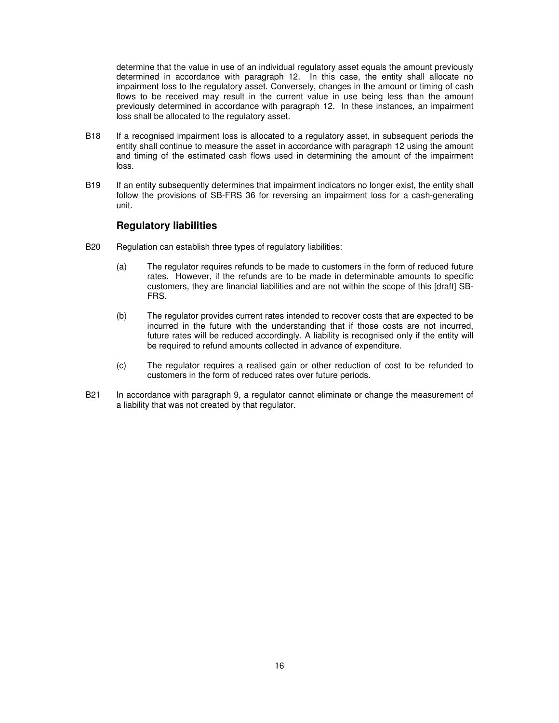determine that the value in use of an individual regulatory asset equals the amount previously determined in accordance with paragraph 12. In this case, the entity shall allocate no impairment loss to the regulatory asset. Conversely, changes in the amount or timing of cash flows to be received may result in the current value in use being less than the amount previously determined in accordance with paragraph 12. In these instances, an impairment loss shall be allocated to the regulatory asset.

- B18 If a recognised impairment loss is allocated to a regulatory asset, in subsequent periods the entity shall continue to measure the asset in accordance with paragraph 12 using the amount and timing of the estimated cash flows used in determining the amount of the impairment loss.
- B19 If an entity subsequently determines that impairment indicators no longer exist, the entity shall follow the provisions of SB-FRS 36 for reversing an impairment loss for a cash-generating unit.

#### **Regulatory liabilities**

- B20 Regulation can establish three types of regulatory liabilities:
	- (a) The regulator requires refunds to be made to customers in the form of reduced future rates. However, if the refunds are to be made in determinable amounts to specific customers, they are financial liabilities and are not within the scope of this [draft] SB-FRS.
	- (b) The regulator provides current rates intended to recover costs that are expected to be incurred in the future with the understanding that if those costs are not incurred, future rates will be reduced accordingly. A liability is recognised only if the entity will be required to refund amounts collected in advance of expenditure.
	- (c) The regulator requires a realised gain or other reduction of cost to be refunded to customers in the form of reduced rates over future periods.
- B21 In accordance with paragraph 9, a regulator cannot eliminate or change the measurement of a liability that was not created by that regulator.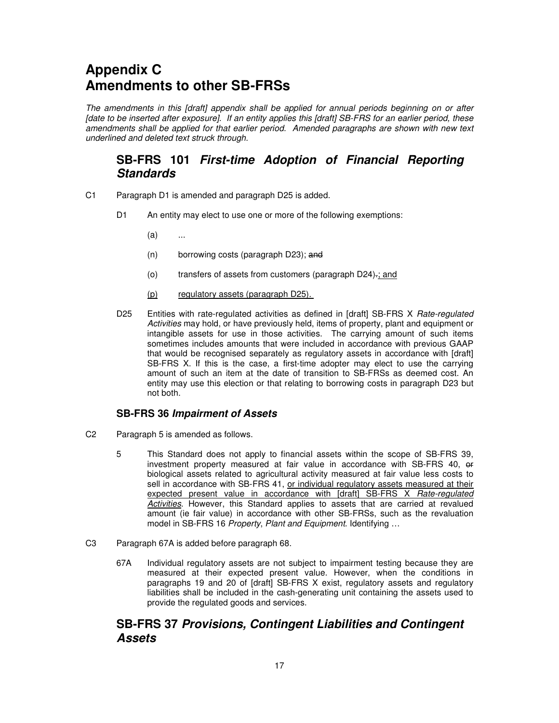# **Appendix C Amendments to other SB-FRSs**

The amendments in this [draft] appendix shall be applied for annual periods beginning on or after [date to be inserted after exposure]. If an entity applies this [draft] SB-FRS for an earlier period, these amendments shall be applied for that earlier period. Amended paragraphs are shown with new text underlined and deleted text struck through.

# **SB-FRS 101 First-time Adoption of Financial Reporting Standards**

- C1 Paragraph D1 is amended and paragraph D25 is added.
	- D1 An entity may elect to use one or more of the following exemptions:
		- (a) ...
		- (n) borrowing costs (paragraph D23); and
		- (o) transfers of assets from customers (paragraph D24).; and
		- (p) regulatory assets (paragraph D25).
	- D25 Entities with rate-regulated activities as defined in [draft] SB-FRS X Rate-regulated Activities may hold, or have previously held, items of property, plant and equipment or intangible assets for use in those activities. The carrying amount of such items sometimes includes amounts that were included in accordance with previous GAAP that would be recognised separately as regulatory assets in accordance with [draft] SB-FRS X. If this is the case, a first-time adopter may elect to use the carrying amount of such an item at the date of transition to SB-FRSs as deemed cost. An entity may use this election or that relating to borrowing costs in paragraph D23 but not both.

#### **SB-FRS 36 Impairment of Assets**

- C2 Paragraph 5 is amended as follows.
	- 5 This Standard does not apply to financial assets within the scope of SB-FRS 39, investment property measured at fair value in accordance with SB-FRS 40, or biological assets related to agricultural activity measured at fair value less costs to sell in accordance with SB-FRS 41, or individual regulatory assets measured at their expected present value in accordance with [draft] SB-FRS X Rate-regulated Activities. However, this Standard applies to assets that are carried at revalued amount (ie fair value) in accordance with other SB-FRSs, such as the revaluation model in SB-FRS 16 Property, Plant and Equipment. Identifying ...
- C3 Paragraph 67A is added before paragraph 68.
	- 67A Individual regulatory assets are not subject to impairment testing because they are measured at their expected present value. However, when the conditions in paragraphs 19 and 20 of [draft] SB-FRS X exist, regulatory assets and regulatory liabilities shall be included in the cash-generating unit containing the assets used to provide the regulated goods and services.

# **SB-FRS 37 Provisions, Contingent Liabilities and Contingent Assets**